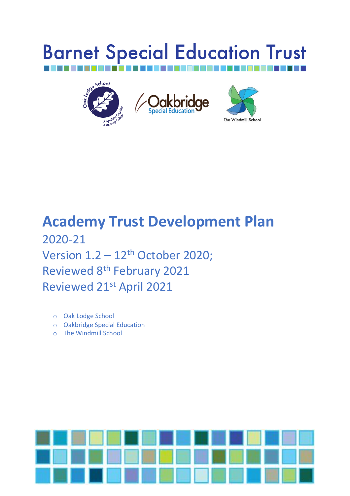# **Barnet Special Education Trust**



## **Academy Trust Development Plan**  2020-21 Version  $1.2 - 12$ <sup>th</sup> October 2020; Reviewed 8<sup>th</sup> February 2021 Reviewed 21st April 2021

- o Oak Lodge School
- o Oakbridge Special Education
- o The Windmill School

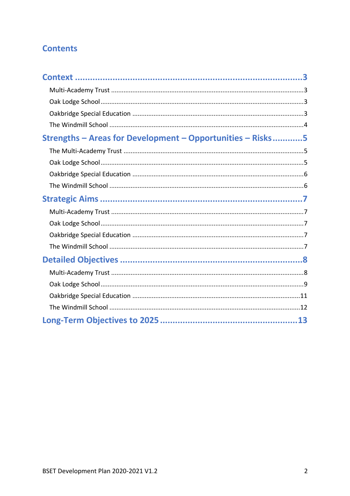#### **Contents**

| Strengths - Areas for Development - Opportunities - Risks5 |
|------------------------------------------------------------|
|                                                            |
|                                                            |
|                                                            |
|                                                            |
|                                                            |
|                                                            |
|                                                            |
|                                                            |
|                                                            |
|                                                            |
|                                                            |
|                                                            |
|                                                            |
|                                                            |
|                                                            |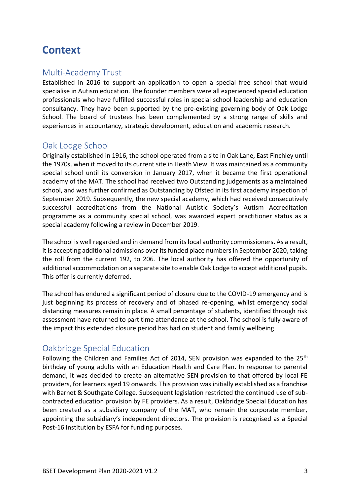## <span id="page-2-0"></span>**Context**

#### <span id="page-2-1"></span>Multi-Academy Trust

Established in 2016 to support an application to open a special free school that would specialise in Autism education. The founder members were all experienced special education professionals who have fulfilled successful roles in special school leadership and education consultancy. They have been supported by the pre-existing governing body of Oak Lodge School. The board of trustees has been complemented by a strong range of skills and experiences in accountancy, strategic development, education and academic research.

#### <span id="page-2-2"></span>Oak Lodge School

Originally established in 1916, the school operated from a site in Oak Lane, East Finchley until the 1970s, when it moved to its current site in Heath View. It was maintained as a community special school until its conversion in January 2017, when it became the first operational academy of the MAT. The school had received two Outstanding judgements as a maintained school, and was further confirmed as Outstanding by Ofsted in its first academy inspection of September 2019. Subsequently, the new special academy, which had received consecutively successful accreditations from the National Autistic Society's Autism Accreditation programme as a community special school, was awarded expert practitioner status as a special academy following a review in December 2019.

The school is well regarded and in demand from its local authority commissioners. As a result, it is accepting additional admissions over its funded place numbers in September 2020, taking the roll from the current 192, to 206. The local authority has offered the opportunity of additional accommodation on a separate site to enable Oak Lodge to accept additional pupils. This offer is currently deferred.

The school has endured a significant period of closure due to the COVID-19 emergency and is just beginning its process of recovery and of phased re-opening, whilst emergency social distancing measures remain in place. A small percentage of students, identified through risk assessment have returned to part time attendance at the school. The school is fully aware of the impact this extended closure period has had on student and family wellbeing

#### <span id="page-2-3"></span>Oakbridge Special Education

Following the Children and Families Act of 2014, SEN provision was expanded to the 25<sup>th</sup> birthday of young adults with an Education Health and Care Plan. In response to parental demand, it was decided to create an alternative SEN provision to that offered by local FE providers, for learners aged 19 onwards. This provision was initially established as a franchise with Barnet & Southgate College. Subsequent legislation restricted the continued use of subcontracted education provision by FE providers. As a result, Oakbridge Special Education has been created as a subsidiary company of the MAT, who remain the corporate member, appointing the subsidiary's independent directors. The provision is recognised as a Special Post-16 Institution by ESFA for funding purposes.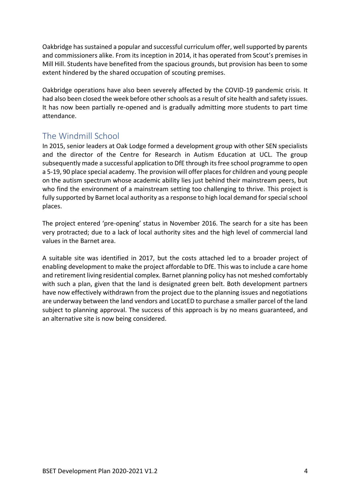Oakbridge has sustained a popular and successful curriculum offer, well supported by parents and commissioners alike. From its inception in 2014, it has operated from Scout's premises in Mill Hill. Students have benefited from the spacious grounds, but provision has been to some extent hindered by the shared occupation of scouting premises.

Oakbridge operations have also been severely affected by the COVID-19 pandemic crisis. It had also been closed the week before other schools as a result of site health and safety issues. It has now been partially re-opened and is gradually admitting more students to part time attendance.

#### <span id="page-3-0"></span>The Windmill School

In 2015, senior leaders at Oak Lodge formed a development group with other SEN specialists and the director of the Centre for Research in Autism Education at UCL. The group subsequently made a successful application to DfE through its free school programme to open a 5-19, 90 place special academy. The provision will offer places for children and young people on the autism spectrum whose academic ability lies just behind their mainstream peers, but who find the environment of a mainstream setting too challenging to thrive. This project is fully supported by Barnet local authority as a response to high local demand for special school places.

The project entered 'pre-opening' status in November 2016. The search for a site has been very protracted; due to a lack of local authority sites and the high level of commercial land values in the Barnet area.

A suitable site was identified in 2017, but the costs attached led to a broader project of enabling development to make the project affordable to DfE. This was to include a care home and retirement living residential complex. Barnet planning policy has not meshed comfortably with such a plan, given that the land is designated green belt. Both development partners have now effectively withdrawn from the project due to the planning issues and negotiations are underway between the land vendors and LocatED to purchase a smaller parcel of the land subject to planning approval. The success of this approach is by no means guaranteed, and an alternative site is now being considered.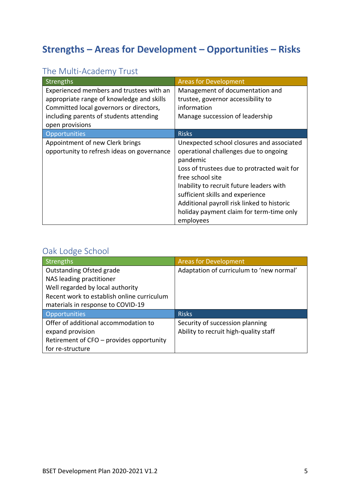## <span id="page-4-0"></span>**Strengths – Areas for Development – Opportunities – Risks**

### <span id="page-4-1"></span>The Multi-Academy Trust

| Strengths                                                                                                                                                                                      | <b>Areas for Development</b>                                                                                                                                                                                                                                                                                                                             |
|------------------------------------------------------------------------------------------------------------------------------------------------------------------------------------------------|----------------------------------------------------------------------------------------------------------------------------------------------------------------------------------------------------------------------------------------------------------------------------------------------------------------------------------------------------------|
| Experienced members and trustees with an<br>appropriate range of knowledge and skills<br>Committed local governors or directors,<br>including parents of students attending<br>open provisions | Management of documentation and<br>trustee, governor accessibility to<br>information<br>Manage succession of leadership                                                                                                                                                                                                                                  |
| Opportunities                                                                                                                                                                                  | <b>Risks</b>                                                                                                                                                                                                                                                                                                                                             |
| Appointment of new Clerk brings<br>opportunity to refresh ideas on governance                                                                                                                  | Unexpected school closures and associated<br>operational challenges due to ongoing<br>pandemic<br>Loss of trustees due to protracted wait for<br>free school site<br>Inability to recruit future leaders with<br>sufficient skills and experience<br>Additional payroll risk linked to historic<br>holiday payment claim for term-time only<br>employees |

#### <span id="page-4-2"></span>Oak Lodge School

| Strengths                                  | <b>Areas for Development</b>             |
|--------------------------------------------|------------------------------------------|
| <b>Outstanding Ofsted grade</b>            | Adaptation of curriculum to 'new normal' |
| NAS leading practitioner                   |                                          |
| Well regarded by local authority           |                                          |
| Recent work to establish online curriculum |                                          |
| materials in response to COVID-19          |                                          |
| Opportunities                              | <b>Risks</b>                             |
| Offer of additional accommodation to       | Security of succession planning          |
| expand provision                           | Ability to recruit high-quality staff    |
| Retirement of CFO - provides opportunity   |                                          |
| for re-structure                           |                                          |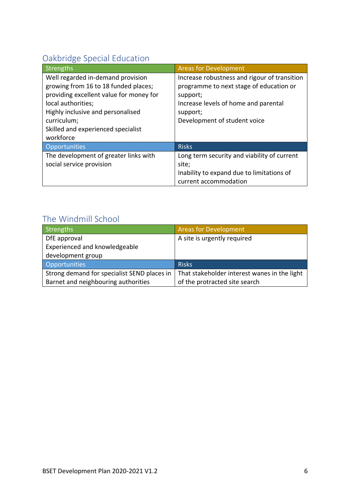## <span id="page-5-0"></span>Oakbridge Special Education

| Strengths                               | <b>Areas for Development</b>                 |
|-----------------------------------------|----------------------------------------------|
| Well regarded in-demand provision       | Increase robustness and rigour of transition |
| growing from 16 to 18 funded places;    | programme to next stage of education or      |
| providing excellent value for money for | support;                                     |
| local authorities;                      | Increase levels of home and parental         |
| Highly inclusive and personalised       | support;                                     |
| curriculum;                             | Development of student voice                 |
| Skilled and experienced specialist      |                                              |
| workforce                               |                                              |
| Opportunities                           | <b>Risks</b>                                 |
| The development of greater links with   | Long term security and viability of current  |
| social service provision                | site;                                        |
|                                         | Inability to expand due to limitations of    |
|                                         | current accommodation                        |

## <span id="page-5-1"></span>The Windmill School

| Strengths                                   | <b>Areas for Development</b>                 |
|---------------------------------------------|----------------------------------------------|
| DfE approval                                | A site is urgently required                  |
| Experienced and knowledgeable               |                                              |
| development group                           |                                              |
| <b>Opportunities</b>                        | <b>Risks</b>                                 |
| Strong demand for specialist SEND places in | That stakeholder interest wanes in the light |
| Barnet and neighbouring authorities         | of the protracted site search                |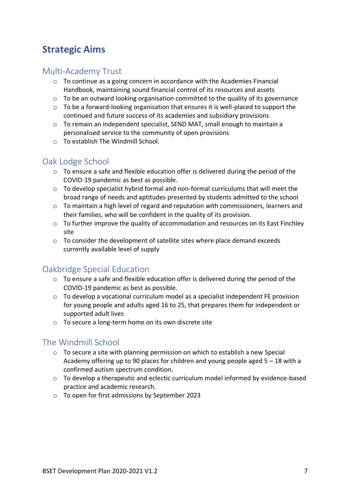## <span id="page-6-0"></span>**Strategic Aims**

#### <span id="page-6-1"></span>Multi-Academy Trust

- $\circ$  To continue as a going concern in accordance with the Academies Financial Handbook, maintaining sound financial control of its resources and assets
- o To be an outward looking organisation committed to the quality of its governance
- $\circ$  To be a forward-looking organisation that ensures it is well-placed to support the continued and future success of its academies and subsidiary provisions
- o To remain an independent specialist, SEND MAT, small enough to maintain a personalised service to the community of open provisions
- o To establish The Windmill School.

#### <span id="page-6-2"></span>Oak Lodge School

- $\circ$  To ensure a safe and flexible education offer is delivered during the period of the COVID-19 pandemic as best as possible.
- $\circ$  To develop specialist hybrid formal and non-formal curriculums that will meet the broad range of needs and aptitudes presented by students admitted to the school
- $\circ$  To maintain a high level of regard and reputation with commissioners, learners and their families, who will be confident in the quality of its provision.
- $\circ$  To further improve the quality of accommodation and resources on its East Finchley site
- $\circ$  To consider the development of satellite sites where place demand exceeds currently available level of supply

#### <span id="page-6-3"></span>Oakbridge Special Education

- o To ensure a safe and flexible education offer is delivered during the period of the COVID-19 pandemic as best as possible.
- o To develop a vocational curriculum model as a specialist independent FE provision for young people and adults aged 16 to 25, that prepares them for independent or supported adult lives
- o To secure a long-term home on its own discrete site

#### <span id="page-6-4"></span>The Windmill School

- $\circ$  To secure a site with planning permission on which to establish a new Special Academy offering up to 90 places for children and young people aged 5 – 18 with a confirmed autism spectrum condition.
- o To develop a therapeutic and eclectic curriculum model informed by evidence-based practice and academic research.
- o To open for first admissions by September 2023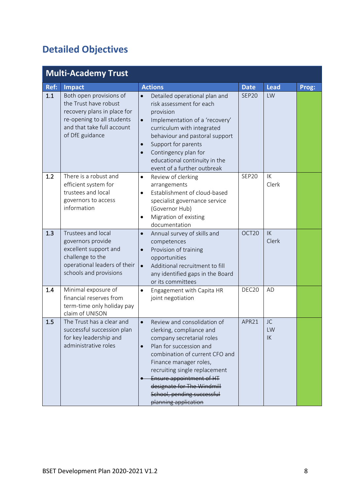## <span id="page-7-0"></span>**Detailed Objectives**

<span id="page-7-1"></span>

|      | <b>Multi-Academy Trust</b>                                                                                                                                     |                                                                                                                                                                                                                                                                                                                                                        |                   |                |       |
|------|----------------------------------------------------------------------------------------------------------------------------------------------------------------|--------------------------------------------------------------------------------------------------------------------------------------------------------------------------------------------------------------------------------------------------------------------------------------------------------------------------------------------------------|-------------------|----------------|-------|
| Ref: | Impact                                                                                                                                                         | <b>Actions</b>                                                                                                                                                                                                                                                                                                                                         | <b>Date</b>       | <b>Lead</b>    | Prog: |
| 1.1  | Both open provisions of<br>the Trust have robust<br>recovery plans in place for<br>re-opening to all students<br>and that take full account<br>of DfE guidance | Detailed operational plan and<br>$\bullet$<br>risk assessment for each<br>provision<br>Implementation of a 'recovery'<br>$\bullet$<br>curriculum with integrated<br>behaviour and pastoral support<br>Support for parents<br>$\bullet$<br>Contingency plan for<br>$\bullet$<br>educational continuity in the<br>event of a further outbreak            | <b>SEP20</b>      | LW             |       |
| 1.2  | There is a robust and<br>efficient system for<br>trustees and local<br>governors to access<br>information                                                      | Review of clerking<br>$\bullet$<br>arrangements<br>Establishment of cloud-based<br>$\bullet$<br>specialist governance service<br>(Governor Hub)<br>Migration of existing<br>$\bullet$<br>documentation                                                                                                                                                 | SEP20             | IK<br>Clerk    |       |
| 1.3  | Trustees and local<br>governors provide<br>excellent support and<br>challenge to the<br>operational leaders of their<br>schools and provisions                 | Annual survey of skills and<br>$\bullet$<br>competences<br>Provision of training<br>$\bullet$<br>opportunities<br>Additional recruitment to fill<br>$\bullet$<br>any identified gaps in the Board<br>or its committees                                                                                                                                 | OCT20             | IK<br>Clerk    |       |
| 1.4  | Minimal exposure of<br>financial reserves from<br>term-time only holiday pay<br>claim of UNISON                                                                | Engagement with Capita HR<br>$\bullet$<br>joint negotiation                                                                                                                                                                                                                                                                                            | DEC <sub>20</sub> | AD             |       |
| 1.5  | The Trust has a clear and<br>successful succession plan<br>for key leadership and<br>administrative roles                                                      | Review and consolidation of<br>$\bullet$<br>clerking, compliance and<br>company secretarial roles<br>Plan for succession and<br>$\bullet$<br>combination of current CFO and<br>Finance manager roles,<br>recruiting single replacement<br>Ensure appointment of HT<br>designate for The Windmill<br>School, pending successful<br>planning application | APR21             | JC<br>LW<br>IK |       |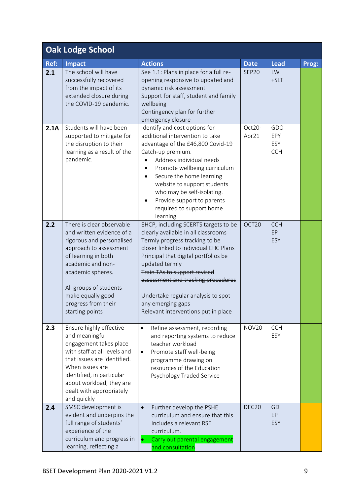<span id="page-8-0"></span>

|      | <b>Oak Lodge School</b>                                                                                                                                                                                                                                                 |                                                                                                                                                                                                                                                                                                                                                                                          |                   |                                 |       |
|------|-------------------------------------------------------------------------------------------------------------------------------------------------------------------------------------------------------------------------------------------------------------------------|------------------------------------------------------------------------------------------------------------------------------------------------------------------------------------------------------------------------------------------------------------------------------------------------------------------------------------------------------------------------------------------|-------------------|---------------------------------|-------|
| Ref: | <b>Impact</b>                                                                                                                                                                                                                                                           | <b>Actions</b>                                                                                                                                                                                                                                                                                                                                                                           | <b>Date</b>       | <b>Lead</b>                     | Prog: |
| 2.1  | The school will have<br>successfully recovered<br>from the impact of its<br>extended closure during<br>the COVID-19 pandemic.                                                                                                                                           | See 1.1: Plans in place for a full re-<br>opening responsive to updated and<br>dynamic risk assessment<br>Support for staff, student and family<br>wellbeing<br>Contingency plan for further<br>emergency closure                                                                                                                                                                        | SEP20             | LW<br>$+SLT$                    |       |
| 2.1A | Students will have been<br>supported to mitigate for<br>the disruption to their<br>learning as a result of the<br>pandemic.                                                                                                                                             | Identify and cost options for<br>additional intervention to take<br>advantage of the £46,800 Covid-19<br>Catch-up premium.<br>Address individual needs<br>Promote wellbeing curriculum<br>Secure the home learning<br>website to support students<br>who may be self-isolating.<br>Provide support to parents<br>required to support home<br>learning                                    | Oct20-<br>Apr21   | GDO<br>EPY<br>ESY<br><b>CCH</b> |       |
| 2.2  | There is clear observable<br>and written evidence of a<br>rigorous and personalised<br>approach to assessment<br>of learning in both<br>academic and non-<br>academic spheres.<br>All groups of students<br>make equally good<br>progress from their<br>starting points | EHCP, including SCERTS targets to be<br>clearly available in all classrooms<br>Termly progress tracking to be<br>closer linked to individual EHC Plans<br>Principal that digital portfolios be<br>updated termly<br>Train TAs to support revised<br>assessment and tracking procedures<br>Undertake regular analysis to spot<br>any emerging gaps<br>Relevant interventions put in place | OCT20             | <b>CCH</b><br>EP<br>ESY         |       |
| 2.3  | Ensure highly effective<br>and meaningful<br>engagement takes place<br>with staff at all levels and<br>that issues are identified.<br>When issues are<br>identified, in particular<br>about workload, they are<br>dealt with appropriately<br>and quickly               | Refine assessment, recording<br>$\bullet$<br>and reporting systems to reduce<br>teacher workload<br>Promote staff well-being<br>$\bullet$<br>programme drawing on<br>resources of the Education<br>Psychology Traded Service                                                                                                                                                             | <b>NOV20</b>      | <b>CCH</b><br>ESY               |       |
| 2.4  | SMSC development is<br>evident and underpins the<br>full range of students'<br>experience of the<br>curriculum and progress in<br>learning, reflecting a                                                                                                                | Further develop the PSHE<br>$\bullet$<br>curriculum and ensure that this<br>includes a relevant RSE<br>curriculum.<br>Carry out parental engagement<br>and consultation                                                                                                                                                                                                                  | DEC <sub>20</sub> | GD<br>EP<br>ESY                 |       |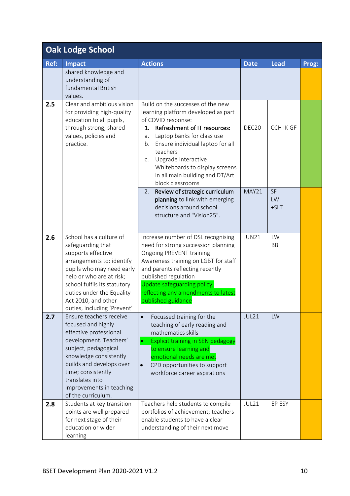| <b>Oak Lodge School</b> |                                                                                                                                                                                                                                                                             |                                                                                                                                                                                                                                                                                                                                                             |                   |                    |       |
|-------------------------|-----------------------------------------------------------------------------------------------------------------------------------------------------------------------------------------------------------------------------------------------------------------------------|-------------------------------------------------------------------------------------------------------------------------------------------------------------------------------------------------------------------------------------------------------------------------------------------------------------------------------------------------------------|-------------------|--------------------|-------|
| Ref:                    | <b>Impact</b>                                                                                                                                                                                                                                                               | <b>Actions</b>                                                                                                                                                                                                                                                                                                                                              | <b>Date</b>       | <b>Lead</b>        | Prog: |
|                         | shared knowledge and<br>understanding of<br>fundamental British<br>values.                                                                                                                                                                                                  |                                                                                                                                                                                                                                                                                                                                                             |                   |                    |       |
| 2.5                     | Clear and ambitious vision<br>for providing high-quality<br>education to all pupils,<br>through strong, shared<br>values, policies and<br>practice.                                                                                                                         | Build on the successes of the new<br>learning platform developed as part<br>of COVID response:<br><b>Refreshment of IT resources:</b><br>1.<br>Laptop banks for class use<br>a.<br>Ensure individual laptop for all<br>b.<br>teachers<br>Upgrade Interactive<br>C.<br>Whiteboards to display screens<br>in all main building and DT/Art<br>block classrooms | DEC <sub>20</sub> | <b>CCH IK GF</b>   |       |
|                         |                                                                                                                                                                                                                                                                             | Review of strategic curriculum<br>2.<br>planning to link with emerging<br>decisions around school<br>structure and "Vision25".                                                                                                                                                                                                                              | MAY21             | SF<br>LW<br>$+SLT$ |       |
| 2.6                     | School has a culture of<br>safeguarding that<br>supports effective<br>arrangements to: identify<br>pupils who may need early<br>help or who are at risk;<br>school fulfils its statutory<br>duties under the Equality<br>Act 2010, and other<br>duties, including 'Prevent' | Increase number of DSL recognising<br>need for strong succession planning<br>Ongoing PREVENT training<br>Awareness training on LGBT for staff<br>and parents reflecting recently<br>published regulation<br>Update safeguarding policy,<br>reflecting any amendments to latest<br>published guidance                                                        | <b>JUN21</b>      | LW<br><b>BB</b>    |       |
| 2.7                     | Ensure teachers receive<br>focused and highly<br>effective professional<br>development. Teachers'<br>subject, pedagogical<br>knowledge consistently<br>builds and develops over<br>time; consistently<br>translates into<br>improvements in teaching<br>of the curriculum.  | Focussed training for the<br>$\bullet$<br>teaching of early reading and<br>mathematics skills<br><b>Explicit training in SEN pedagogy</b><br>$\bullet$<br>to ensure learning and<br>emotional needs are met<br>CPD opportunities to support<br>$\bullet$<br>workforce career aspirations                                                                    | JUL21             | LW                 |       |
| 2.8                     | Students at key transition<br>points are well prepared<br>for next stage of their<br>education or wider<br>learning                                                                                                                                                         | Teachers help students to compile<br>portfolios of achievement; teachers<br>enable students to have a clear<br>understanding of their next move                                                                                                                                                                                                             | JUL21             | EP ESY             |       |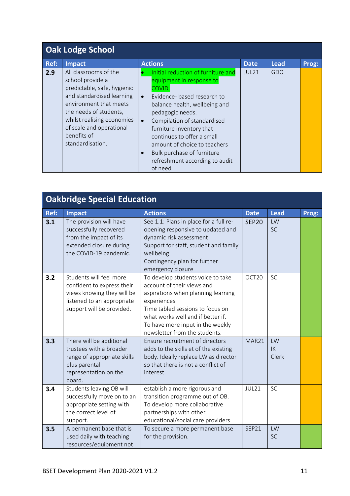| <b>Oak Lodge School</b> |                                                                                                                                                                                                                                                        |                                                                                                                                                                                                                                                                                                                                                                  |             |             |       |  |
|-------------------------|--------------------------------------------------------------------------------------------------------------------------------------------------------------------------------------------------------------------------------------------------------|------------------------------------------------------------------------------------------------------------------------------------------------------------------------------------------------------------------------------------------------------------------------------------------------------------------------------------------------------------------|-------------|-------------|-------|--|
| Ref:                    | Impact                                                                                                                                                                                                                                                 | <b>Actions</b>                                                                                                                                                                                                                                                                                                                                                   | <b>Date</b> | <b>Lead</b> | Prog: |  |
| 2.9                     | All classrooms of the<br>school provide a<br>predictable, safe, hygienic<br>and standardised learning<br>environment that meets<br>the needs of students,<br>whilst realising economies<br>of scale and operational<br>benefits of<br>standardisation. | Initial reduction of furniture and<br>equipment in response to<br>COVID.<br>Evidence- based research to<br>balance health, wellbeing and<br>pedagogic needs.<br>Compilation of standardised<br>furniture inventory that<br>continues to offer a small<br>amount of choice to teachers<br>Bulk purchase of furniture<br>refreshment according to audit<br>of need | JUL21       | GDO         |       |  |

<span id="page-10-0"></span>

| <b>Oakbridge Special Education</b> |                                                                                                                                                |                                                                                                                                                                                                                                                                    |                   |                   |       |
|------------------------------------|------------------------------------------------------------------------------------------------------------------------------------------------|--------------------------------------------------------------------------------------------------------------------------------------------------------------------------------------------------------------------------------------------------------------------|-------------------|-------------------|-------|
| Ref:                               | <b>Impact</b>                                                                                                                                  | <b>Actions</b>                                                                                                                                                                                                                                                     | <b>Date</b>       | <b>Lead</b>       | Prog: |
| 3.1                                | The provision will have<br>successfully recovered<br>from the impact of its<br>extended closure during<br>the COVID-19 pandemic.               | See 1.1: Plans in place for a full re-<br>opening responsive to updated and<br>dynamic risk assessment<br>Support for staff, student and family<br>wellbeing<br>Contingency plan for further<br>emergency closure                                                  | <b>SEP20</b>      | LW<br><b>SC</b>   |       |
| 3.2                                | Students will feel more<br>confident to express their<br>views knowing they will be<br>listened to an appropriate<br>support will be provided. | To develop students voice to take<br>account of their views and<br>aspirations when planning learning<br>experiences<br>Time tabled sessions to focus on<br>what works well and if better if.<br>To have more input in the weekly<br>newsletter from the students. | OCT <sub>20</sub> | <b>SC</b>         |       |
| 3.3                                | There will be additional<br>trustees with a broader<br>range of appropriate skills<br>plus parental<br>representation on the<br>board.         | Ensure recruitment of directors<br>adds to the skills et of the existing<br>body. Ideally replace LW as director<br>so that there is not a conflict of<br>interest                                                                                                 | MAR21             | LW<br>IK<br>Clerk |       |
| 3.4                                | Students leaving OB will<br>successfully move on to an<br>appropriate setting with<br>the correct level of<br>support.                         | establish a more rigorous and<br>transition programme out of OB.<br>To develop more collaborative<br>partnerships with other<br>educational/social care providers                                                                                                  | JUL21             | <b>SC</b>         |       |
| 3.5                                | A permanent base that is<br>used daily with teaching<br>resources/equipment not                                                                | To secure a more permanent base<br>for the provision.                                                                                                                                                                                                              | SEP21             | LW<br><b>SC</b>   |       |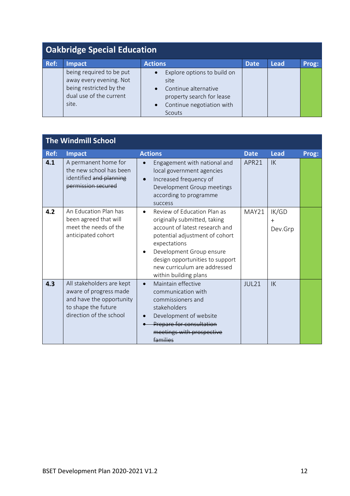| <b>Oakbridge Special Education</b> |                                                                                                                    |                                                                                                                                                           |             |             |       |  |
|------------------------------------|--------------------------------------------------------------------------------------------------------------------|-----------------------------------------------------------------------------------------------------------------------------------------------------------|-------------|-------------|-------|--|
| Ref:                               | <b>Impact</b>                                                                                                      | <b>Actions</b>                                                                                                                                            | <b>Date</b> | <b>Lead</b> | Prog: |  |
|                                    | being required to be put<br>away every evening. Not<br>being restricted by the<br>dual use of the current<br>site. | Explore options to build on<br>site<br>Continue alternative<br>$\bullet$<br>property search for lease<br>Continue negotiation with<br>$\bullet$<br>Scouts |             |             |       |  |

<span id="page-11-1"></span><span id="page-11-0"></span>

| <b>The Windmill School</b> |                                                                                                                                   |                                                                                                                                                                                                                                                                         |                   |                         |       |
|----------------------------|-----------------------------------------------------------------------------------------------------------------------------------|-------------------------------------------------------------------------------------------------------------------------------------------------------------------------------------------------------------------------------------------------------------------------|-------------------|-------------------------|-------|
| Ref:                       | <b>Impact</b>                                                                                                                     | <b>Actions</b>                                                                                                                                                                                                                                                          | <b>Date</b>       | <b>Lead</b>             | Prog: |
| 4.1                        | A permanent home for<br>the new school has been<br>identified and planning<br>permission secured                                  | Engagement with national and<br>local government agencies<br>Increased frequency of<br>$\bullet$<br>Development Group meetings<br>according to programme<br>success                                                                                                     | APR21             | 1K                      |       |
| 4.2                        | An Education Plan has<br>been agreed that will<br>meet the needs of the<br>anticipated cohort                                     | Review of Education Plan as<br>originally submitted, taking<br>account of latest research and<br>potential adjustment of cohort<br>expectations<br>Development Group ensure<br>design opportunities to support<br>new curriculum are addressed<br>within building plans | MAY21             | IK/GD<br>$+$<br>Dev.Grp |       |
| 4.3                        | All stakeholders are kept<br>aware of progress made<br>and have the opportunity<br>to shape the future<br>direction of the school | Maintain effective<br>$\bullet$<br>communication with<br>commissioners and<br>stakeholders<br>Development of website<br>Prepare for consultation<br>meetings with prospective<br>عمنلنصحا                                                                               | JUL <sub>21</sub> | $\mathsf{I}\mathsf{K}$  |       |